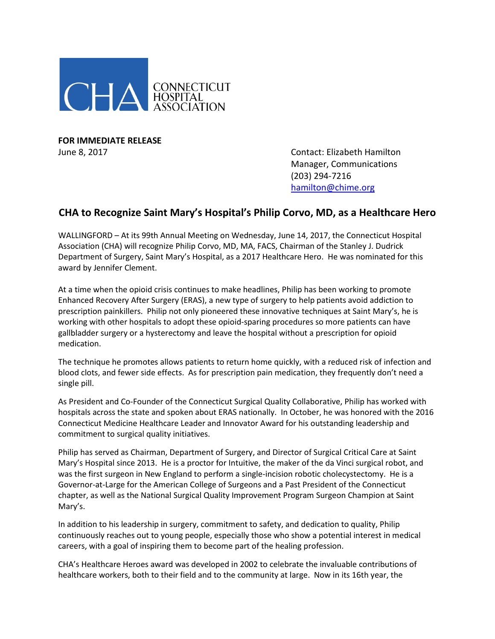

**FOR IMMEDIATE RELEASE**

June 8, 2017 Contact: Elizabeth Hamilton Manager, Communications (203) 294-7216 [hamilton@chime.org](mailto:hamilton@chime.org)

## **CHA to Recognize Saint Mary's Hospital's Philip Corvo, MD, as a Healthcare Hero**

WALLINGFORD – At its 99th Annual Meeting on Wednesday, June 14, 2017, the Connecticut Hospital Association (CHA) will recognize Philip Corvo, MD, MA, FACS, Chairman of the Stanley J. Dudrick Department of Surgery, Saint Mary's Hospital, as a 2017 Healthcare Hero. He was nominated for this award by Jennifer Clement.

At a time when the opioid crisis continues to make headlines, Philip has been working to promote Enhanced Recovery After Surgery (ERAS), a new type of surgery to help patients avoid addiction to prescription painkillers. Philip not only pioneered these innovative techniques at Saint Mary's, he is working with other hospitals to adopt these opioid-sparing procedures so more patients can have gallbladder surgery or a hysterectomy and leave the hospital without a prescription for opioid medication.

The technique he promotes allows patients to return home quickly, with a reduced risk of infection and blood clots, and fewer side effects. As for prescription pain medication, they frequently don't need a single pill.

As President and Co-Founder of the Connecticut Surgical Quality Collaborative, Philip has worked with hospitals across the state and spoken about ERAS nationally. In October, he was honored with the 2016 Connecticut Medicine Healthcare Leader and Innovator Award for his outstanding leadership and commitment to surgical quality initiatives.

Philip has served as Chairman, Department of Surgery, and Director of Surgical Critical Care at Saint Mary's Hospital since 2013. He is a proctor for Intuitive, the maker of the da Vinci surgical robot, and was the first surgeon in New England to perform a single-incision robotic cholecystectomy. He is a Governor-at-Large for the American College of Surgeons and a Past President of the Connecticut chapter, as well as the National Surgical Quality Improvement Program Surgeon Champion at Saint Mary's.

In addition to his leadership in surgery, commitment to safety, and dedication to quality, Philip continuously reaches out to young people, especially those who show a potential interest in medical careers, with a goal of inspiring them to become part of the healing profession.

CHA's Healthcare Heroes award was developed in 2002 to celebrate the invaluable contributions of healthcare workers, both to their field and to the community at large. Now in its 16th year, the